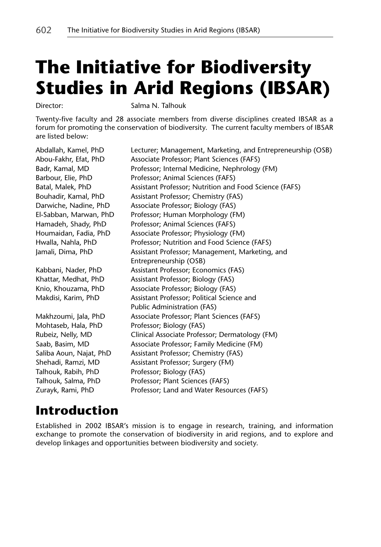# **The Initiative for Biodiversity Studies in Arid Regions (IBSAR)**

Director: Salma N. Talhouk

Twenty-five faculty and 28 associate members from diverse disciplines created IBSAR as a forum for promoting the conservation of biodiversity. The current faculty members of IBSAR are listed below:

Mohtaseb, Hala, PhD Professor; Biology (FAS) Talhouk, Rabih, PhD Professor; Biology (FAS)

Abdallah, Kamel, PhD Lecturer; Management, Marketing, and Entrepreneurship (OSB) Abou-Fakhr, Efat, PhD Associate Professor; Plant Sciences (FAFS) Badr, Kamal, MD Professor; Internal Medicine, Nephrology (FM) Barbour, Elie, PhD Professor; Animal Sciences (FAFS) Batal, Malek, PhD **Assistant Professor; Nutrition and Food Science (FAFS)** Bouhadir, Kamal, PhD Assistant Professor; Chemistry (FAS) Darwiche, Nadine, PhD Associate Professor; Biology (FAS) El-Sabban, Marwan, PhD Professor; Human Morphology (FM) Hamadeh, Shady, PhD Professor; Animal Sciences (FAFS) Houmaidan, Fadia, PhD Associate Professor; Physiology (FM) Hwalla, Nahla, PhD Professor; Nutrition and Food Science (FAFS) Jamali, Dima, PhD **Assistant Professor; Management, Marketing**, and Entrepreneurship (OSB) Kabbani, Nader, PhD Assistant Professor; Economics (FAS) Khattar, Medhat, PhD Assistant Professor; Biology (FAS) Knio, Khouzama, PhD Associate Professor; Biology (FAS) Makdisi, Karim, PhD Assistant Professor; Political Science and Public Administration (FAS) Makhzoumi, Jala, PhD Associate Professor; Plant Sciences (FAFS) Rubeiz, Nelly, MD Clinical Associate Professor; Dermatology (FM) Saab, Basim, MD Associate Professor; Family Medicine (FM) Saliba Aoun, Najat, PhD Assistant Professor; Chemistry (FAS) Shehadi, Ramzi, MD Assistant Professor; Surgery (FM) Talhouk, Salma, PhD Professor; Plant Sciences (FAFS) Zurayk, Rami, PhD Professor; Land and Water Resources (FAFS)

## **Introduction**

Established in 2002 IBSAR's mission is to engage in research, training, and information exchange to promote the conservation of biodiversity in arid regions, and to explore and develop linkages and opportunities between biodiversity and society.